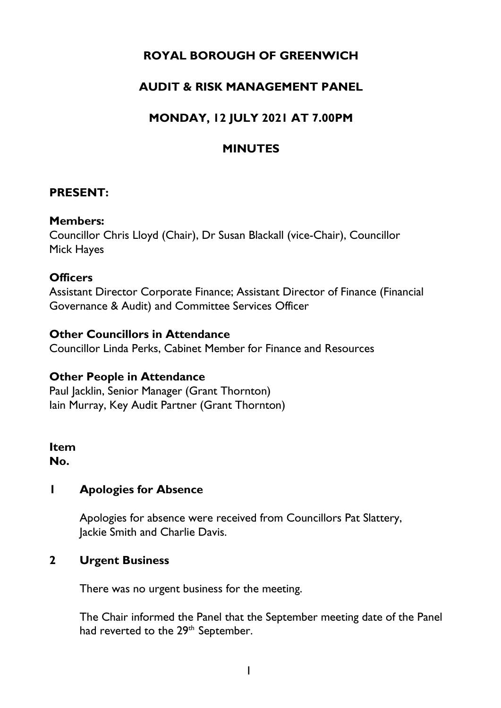# **ROYAL BOROUGH OF GREENWICH**

# **AUDIT & RISK MANAGEMENT PANEL**

# **MONDAY, 12 JULY 2021 AT 7.00PM**

## **MINUTES**

#### **PRESENT:**

#### **Members:**

Councillor Chris Lloyd (Chair), Dr Susan Blackall (vice-Chair), Councillor Mick Hayes

#### **Officers**

Assistant Director Corporate Finance; Assistant Director of Finance (Financial Governance & Audit) and Committee Services Officer

#### **Other Councillors in Attendance**

Councillor Linda Perks, Cabinet Member for Finance and Resources

#### **Other People in Attendance**

Paul Jacklin, Senior Manager (Grant Thornton) Iain Murray, Key Audit Partner (Grant Thornton)

#### **Item No.**

### **1 Apologies for Absence**

Apologies for absence were received from Councillors Pat Slattery, Jackie Smith and Charlie Davis.

### **2 Urgent Business**

There was no urgent business for the meeting.

The Chair informed the Panel that the September meeting date of the Panel had reverted to the 29<sup>th</sup> September.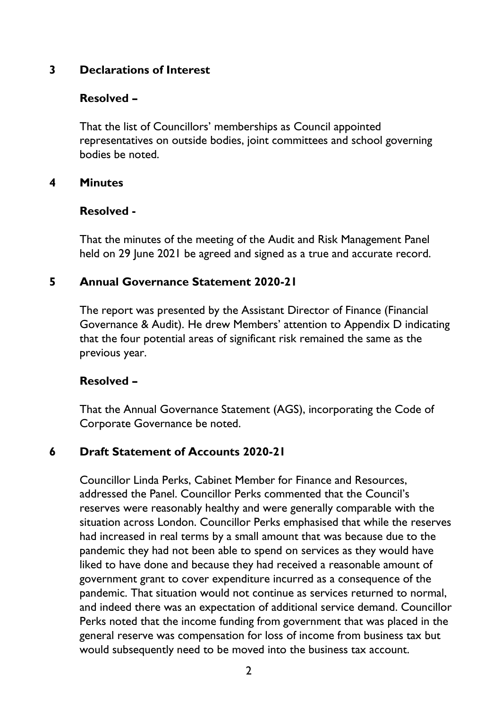### **3 Declarations of Interest**

#### **Resolved –**

That the list of Councillors' memberships as Council appointed representatives on outside bodies, joint committees and school governing bodies be noted.

#### **4 Minutes**

#### **Resolved -**

That the minutes of the meeting of the Audit and Risk Management Panel held on 29 June 2021 be agreed and signed as a true and accurate record.

### **5 Annual Governance Statement 2020-21**

The report was presented by the Assistant Director of Finance (Financial Governance & Audit). He drew Members' attention to Appendix D indicating that the four potential areas of significant risk remained the same as the previous year.

#### **Resolved –**

That the Annual Governance Statement (AGS), incorporating the Code of Corporate Governance be noted.

### **6 Draft Statement of Accounts 2020-21**

Councillor Linda Perks, Cabinet Member for Finance and Resources, addressed the Panel. Councillor Perks commented that the Council's reserves were reasonably healthy and were generally comparable with the situation across London. Councillor Perks emphasised that while the reserves had increased in real terms by a small amount that was because due to the pandemic they had not been able to spend on services as they would have liked to have done and because they had received a reasonable amount of government grant to cover expenditure incurred as a consequence of the pandemic. That situation would not continue as services returned to normal, and indeed there was an expectation of additional service demand. Councillor Perks noted that the income funding from government that was placed in the general reserve was compensation for loss of income from business tax but would subsequently need to be moved into the business tax account.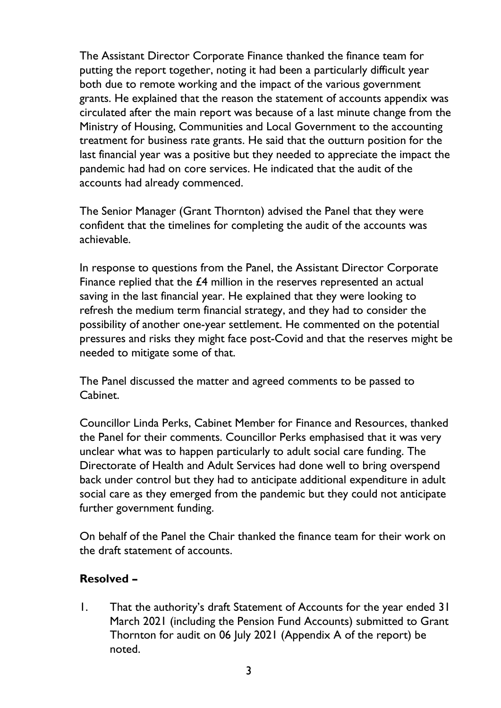The Assistant Director Corporate Finance thanked the finance team for putting the report together, noting it had been a particularly difficult year both due to remote working and the impact of the various government grants. He explained that the reason the statement of accounts appendix was circulated after the main report was because of a last minute change from the Ministry of Housing, Communities and Local Government to the accounting treatment for business rate grants. He said that the outturn position for the last financial year was a positive but they needed to appreciate the impact the pandemic had had on core services. He indicated that the audit of the accounts had already commenced.

The Senior Manager (Grant Thornton) advised the Panel that they were confident that the timelines for completing the audit of the accounts was achievable.

In response to questions from the Panel, the Assistant Director Corporate Finance replied that the £4 million in the reserves represented an actual saving in the last financial year. He explained that they were looking to refresh the medium term financial strategy, and they had to consider the possibility of another one-year settlement. He commented on the potential pressures and risks they might face post-Covid and that the reserves might be needed to mitigate some of that.

The Panel discussed the matter and agreed comments to be passed to Cabinet.

Councillor Linda Perks, Cabinet Member for Finance and Resources, thanked the Panel for their comments. Councillor Perks emphasised that it was very unclear what was to happen particularly to adult social care funding. The Directorate of Health and Adult Services had done well to bring overspend back under control but they had to anticipate additional expenditure in adult social care as they emerged from the pandemic but they could not anticipate further government funding.

On behalf of the Panel the Chair thanked the finance team for their work on the draft statement of accounts.

### **Resolved –**

1. That the authority's draft Statement of Accounts for the year ended 31 March 2021 (including the Pension Fund Accounts) submitted to Grant Thornton for audit on 06 July 2021 (Appendix A of the report) be noted.